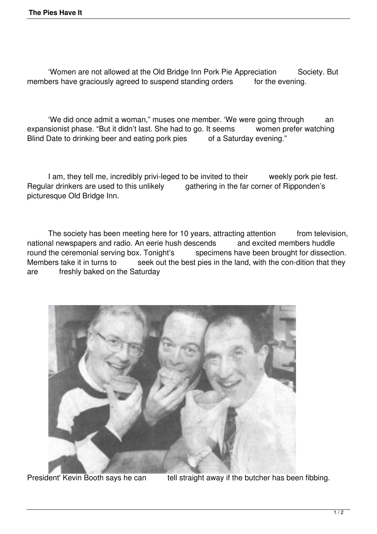'Women are not allowed at the Old Bridge Inn Pork Pie Appreciation Society. But members have graciously agreed to suspend standing orders for the evening.

'We did once admit a woman," muses one member. 'We were going through an expansionist phase. "But it didn't last. She had to go. It seems women prefer watching Blind Date to drinking beer and eating pork pies of a Saturday evening."

I am, they tell me, incredibly privi-leged to be invited to their weekly pork pie fest. Regular drinkers are used to this unlikely gathering in the far corner of Ripponden's picturesque Old Bridge Inn.

The society has been meeting here for 10 years, attracting attention from television, national newspapers and radio. An eerie hush descends and excited members huddle round the ceremonial serving box. Tonight's specimens have been brought for dissection. Members take it in turns to seek out the best pies in the land, with the con-dition that they are freshly baked on the Saturday



President' Kevin Booth says he can tell straight away if the butcher has been fibbing.